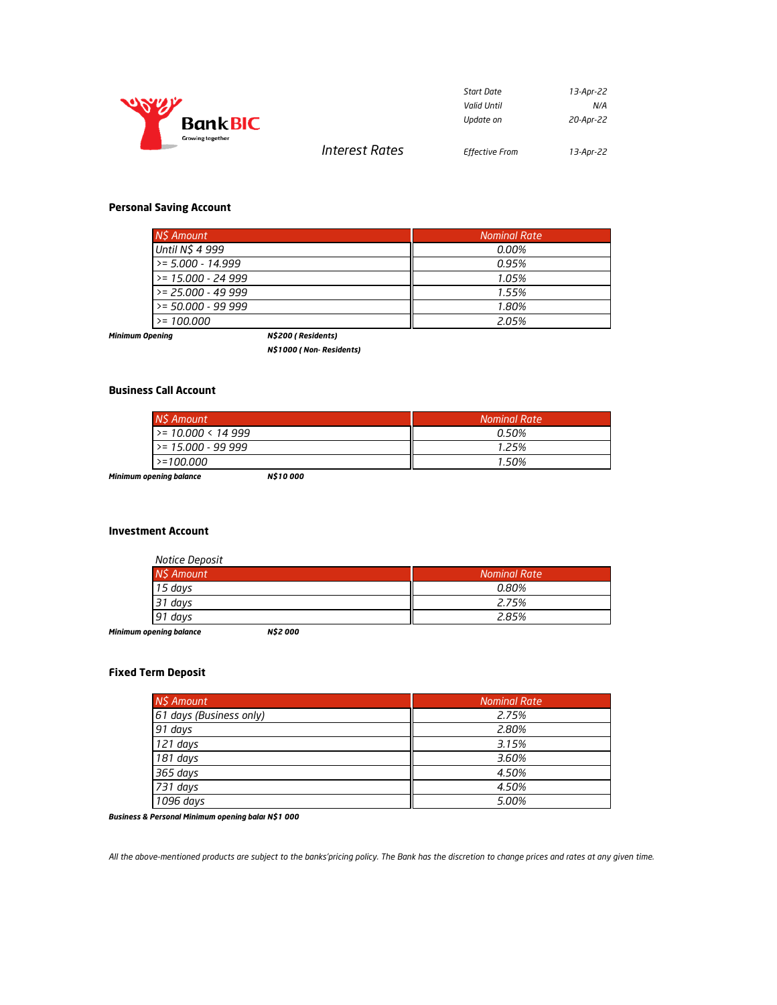

| Start Date            | 13-Apr-22 |
|-----------------------|-----------|
| Valid Until           | N/A       |
| Update on             | 20-Apr-22 |
| <b>Effective From</b> | 13-Apr-22 |

## **Personal Saving Account**

| NS Amount            | <b>Nominal Rate</b> |
|----------------------|---------------------|
| Until N\$ 4 999      | 0.00%               |
| $>= 5.000 - 14.999$  | 0.95%               |
| $>= 15.000 - 24.999$ | 1.05%               |
| $>= 25.000 - 49.999$ | 1.55%               |
| $>= 50.000 - 99.999$ | 1.80%               |
| $>= 100.000$         | 2.05%               |

*Interest Rates* 

*Minimum Opening N\$200 ( Residents)* 

*N\$1000 ( Non- Residents)* 

### **Business Call Account**

| NS Amount            | Nominal Rate |
|----------------------|--------------|
| $>= 10.000 < 14999$  | 0.50%        |
| $>= 15.000 - 99.999$ | 1.25%        |
| $> = 100.000$        | 1.50%        |

*Minimum opening balance N\$10 000* 

### **Investment Account**

| Notice Deposit |                     |
|----------------|---------------------|
| N\$ Amount     | <b>Nominal Rate</b> |
| 15 days        | 0.80%               |
| 31 davs        | 2.75%               |
| 91 days        | 2.85%               |

*Minimum opening balance N\$2 000* 

## **Fixed Term Deposit**

| N\$ Amount              | <b>Nominal Rate</b> |
|-------------------------|---------------------|
| 61 days (Business only) | 2.75%               |
| 91 days                 | 2.80%               |
| 121 days                | 3.15%               |
| 181 days                | 3.60%               |
| 365 days                | 4.50%               |
| 731 days                | 4.50%               |
| 1096 days               | 5.00%               |

**Business & Personal Minimum opening balai N\$1 000** 

*All the above-mentioned products are subject to the banks'pricing policy. The Bank has the discretion to change prices and rates at any given time.*